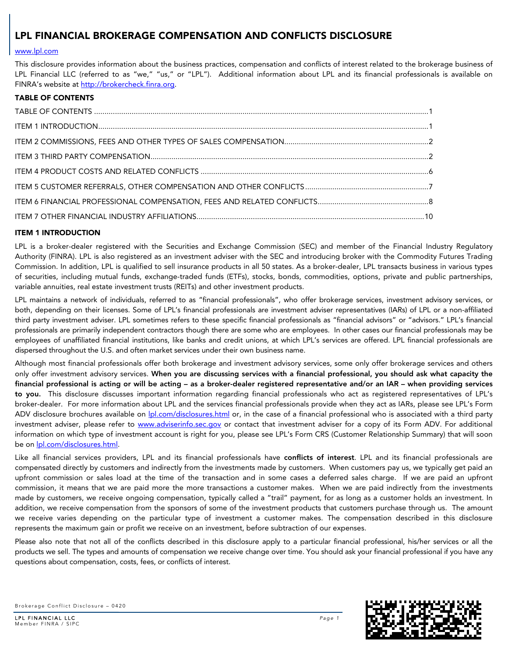# [www.lpl.com](http://www.lpl.com/)

This disclosure provides information about the business practices, compensation and conflicts of interest related to the brokerage business of LPL Financial LLC (referred to as "we," "us," or "LPL"). Additional information about LPL and its financial professionals is available on FINRA's website at [http://brokercheck.finra.org.](http://brokercheck.finra.org/)

# <span id="page-0-0"></span>TABLE OF CONTENTS

# <span id="page-0-1"></span>ITEM 1 INTRODUCTION

LPL is a broker-dealer registered with the Securities and Exchange Commission (SEC) and member of the Financial Industry Regulatory Authority (FINRA). LPL is also registered as an investment adviser with the SEC and introducing broker with the Commodity Futures Trading Commission. In addition, LPL is qualified to sell insurance products in all 50 states. As a broker-dealer, LPL transacts business in various types of securities, including mutual funds, exchange-traded funds (ETFs), stocks, bonds, commodities, options, private and public partnerships, variable annuities, real estate investment trusts (REITs) and other investment products.

LPL maintains a network of individuals, referred to as "financial professionals", who offer brokerage services, investment advisory services, or both, depending on their licenses. Some of LPL's financial professionals are investment adviser representatives (IARs) of LPL or a non-affiliated third party investment adviser. LPL sometimes refers to these specific financial professionals as "financial advisors" or "advisors." LPL's financial professionals are primarily independent contractors though there are some who are employees. In other cases our financial professionals may be employees of unaffiliated financial institutions, like banks and credit unions, at which LPL's services are offered. LPL financial professionals are dispersed throughout the U.S. and often market services under their own business name.

Although most financial professionals offer both brokerage and investment advisory services, some only offer brokerage services and others only offer investment advisory services. When you are discussing services with a financial professional, you should ask what capacity the financial professional is acting or will be acting – as a broker-dealer registered representative and/or an IAR – when providing services to you. This disclosure discusses important information regarding financial professionals who act as registered representatives of LPL's broker-dealer. For more information about LPL and the services financial professionals provide when they act as IARs, please see LPL's Form ADV disclosure brochures available on *pl.com/disclosures.html or, in the case of a financial professional who is associated with a third party* investment adviser, please refer to [www.adviserinfo.sec.gov](http://www.adviserinfo.sec.gov/) or contact that investment adviser for a copy of its Form ADV. For additional information on which type of investment account is right for you, please see LPL's Form CRS (Customer Relationship Summary) that will soon be on [lpl.com/disclosures.html.](https://www.lpl.com/disclosures.html)

Like all financial services providers. LPL and its financial professionals have **conflicts of interest**. LPL and its financial professionals are compensated directly by customers and indirectly from the investments made by customers. When customers pay us, we typically get paid an upfront commission or sales load at the time of the transaction and in some cases a deferred sales charge. If we are paid an upfront commission, it means that we are paid more the more transactions a customer makes. When we are paid indirectly from the investments made by customers, we receive ongoing compensation, typically called a "trail" payment, for as long as a customer holds an investment. In addition, we receive compensation from the sponsors of some of the investment products that customers purchase through us. The amount we receive varies depending on the particular type of investment a customer makes. The compensation described in this disclosure represents the maximum gain or profit we receive on an investment, before subtraction of our expenses.

Please also note that not all of the conflicts described in this disclosure apply to a particular financial professional, his/her services or all the products we sell. The types and amounts of compensation we receive change over time. You should ask your financial professional if you have any questions about compensation, costs, fees, or conflicts of interest.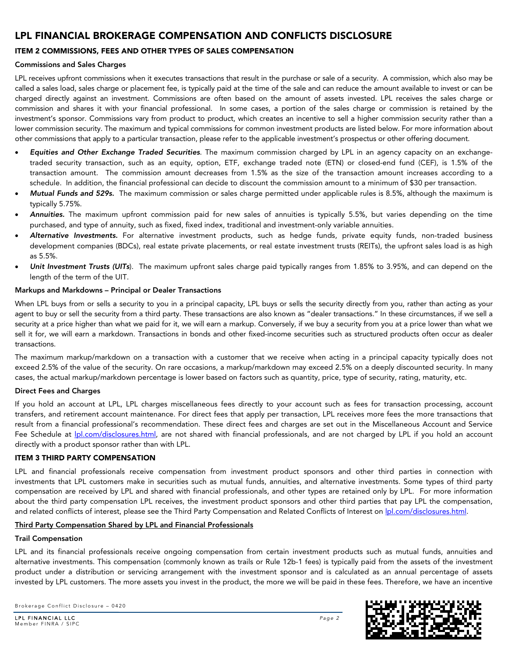# <span id="page-1-0"></span>ITEM 2 COMMISSIONS, FEES AND OTHER TYPES OF SALES COMPENSATION

# Commissions and Sales Charges

LPL receives upfront commissions when it executes transactions that result in the purchase or sale of a security. A commission, which also may be called a sales load, sales charge or placement fee, is typically paid at the time of the sale and can reduce the amount available to invest or can be charged directly against an investment. Commissions are often based on the amount of assets invested. LPL receives the sales charge or commission and shares it with your financial professional. In some cases, a portion of the sales charge or commission is retained by the investment's sponsor. Commissions vary from product to product, which creates an incentive to sell a higher commission security rather than a lower commission security. The maximum and typical commissions for common investment products are listed below. For more information about other commissions that apply to a particular transaction, please refer to the applicable investment's prospectus or other offering document.

- *Equities and Other Exchange Traded Securities*. The maximum commission charged by LPL in an agency capacity on an exchangetraded security transaction, such as an equity, option, ETF, exchange traded note (ETN) or closed-end fund (CEF), is 1.5% of the transaction amount. The commission amount decreases from 1.5% as the size of the transaction amount increases according to a schedule. In addition, the financial professional can decide to discount the commission amount to a minimum of \$30 per transaction.
- *Mutual Funds and 529s.* The maximum commission or sales charge permitted under applicable rules is 8.5%, although the maximum is typically 5.75%.
- *Annuities.* The maximum upfront commission paid for new sales of annuities is typically 5.5%, but varies depending on the time purchased, and type of annuity, such as fixed, fixed index, traditional and investment-only variable annuities.
- *Alternative Investments.* For alternative investment products, such as hedge funds, private equity funds, non-traded business development companies (BDCs), real estate private placements, or real estate investment trusts (REITs), the upfront sales load is as high as 5.5%.
- *Unit Investment Trusts (UITs*). The maximum upfront sales charge paid typically ranges from 1.85% to 3.95%, and can depend on the length of the term of the UIT.

# Markups and Markdowns – Principal or Dealer Transactions

When LPL buys from or sells a security to you in a principal capacity, LPL buys or sells the security directly from you, rather than acting as your agent to buy or sell the security from a third party. These transactions are also known as "dealer transactions." In these circumstances, if we sell a security at a price higher than what we paid for it, we will earn a markup. Conversely, if we buy a security from you at a price lower than what we sell it for, we will earn a markdown. Transactions in bonds and other fixed-income securities such as structured products often occur as dealer transactions.

The maximum markup/markdown on a transaction with a customer that we receive when acting in a principal capacity typically does not exceed 2.5% of the value of the security. On rare occasions, a markup/markdown may exceed 2.5% on a deeply discounted security. In many cases, the actual markup/markdown percentage is lower based on factors such as quantity, price, type of security, rating, maturity, etc.

# Direct Fees and Charges

If you hold an account at LPL, LPL charges miscellaneous fees directly to your account such as fees for transaction processing, account transfers, and retirement account maintenance. For direct fees that apply per transaction, LPL receives more fees the more transactions that result from a financial professional's recommendation. These direct fees and charges are set out in the Miscellaneous Account and Service Fee Schedule at *Ipl.com/disclosures.html*, are not shared with financial professionals, and are not charged by LPL if you hold an account directly with a product sponsor rather than with LPL.

# <span id="page-1-1"></span>ITEM 3 THIRD PARTY COMPENSATION

LPL and financial professionals receive compensation from investment product sponsors and other third parties in connection with investments that LPL customers make in securities such as mutual funds, annuities, and alternative investments. Some types of third party compensation are received by LPL and shared with financial professionals, and other types are retained only by LPL. For more information about the third party compensation LPL receives, the investment product sponsors and other third parties that pay LPL the compensation, and related conflicts of interest, please see the Third Party Compensation and Related Conflicts of Interest on **pl.com/disclosures.html**.

# Third Party Compensation Shared by LPL and Financial Professionals

# Trail Compensation

LPL and its financial professionals receive ongoing compensation from certain investment products such as mutual funds, annuities and alternative investments. This compensation (commonly known as trails or Rule 12b-1 fees) is typically paid from the assets of the investment product under a distribution or servicing arrangement with the investment sponsor and is calculated as an annual percentage of assets invested by LPL customers. The more assets you invest in the product, the more we will be paid in these fees. Therefore, we have an incentive

Brokerage Conflict Disclosure – 0420

LPL FINANCIAL LLC *Page 2* Member FINRA / SIPC

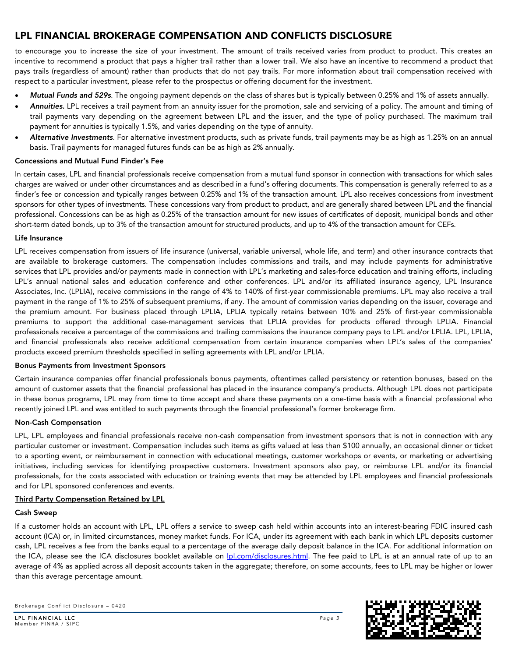to encourage you to increase the size of your investment. The amount of trails received varies from product to product. This creates an incentive to recommend a product that pays a higher trail rather than a lower trail. We also have an incentive to recommend a product that pays trails (regardless of amount) rather than products that do not pay trails. For more information about trail compensation received with respect to a particular investment, please refer to the prospectus or offering document for the investment.

- *Mutual Funds and 529s*. The ongoing payment depends on the class of shares but is typically between 0.25% and 1% of assets annually.
- *Annuities.* LPL receives a trail payment from an annuity issuer for the promotion, sale and servicing of a policy. The amount and timing of trail payments vary depending on the agreement between LPL and the issuer, and the type of policy purchased. The maximum trail payment for annuities is typically 1.5%, and varies depending on the type of annuity.
- *Alternative Investments*. For alternative investment products, such as private funds, trail payments may be as high as 1.25% on an annual basis. Trail payments for managed futures funds can be as high as 2% annually.

# Concessions and Mutual Fund Finder's Fee

In certain cases, LPL and financial professionals receive compensation from a mutual fund sponsor in connection with transactions for which sales charges are waived or under other circumstances and as described in a fund's offering documents. This compensation is generally referred to as a finder's fee or concession and typically ranges between 0.25% and 1% of the transaction amount. LPL also receives concessions from investment sponsors for other types of investments. These concessions vary from product to product, and are generally shared between LPL and the financial professional. Concessions can be as high as 0.25% of the transaction amount for new issues of certificates of deposit, municipal bonds and other short-term dated bonds, up to 3% of the transaction amount for structured products, and up to 4% of the transaction amount for CEFs.

# Life Insurance

LPL receives compensation from issuers of life insurance (universal, variable universal, whole life, and term) and other insurance contracts that are available to brokerage customers. The compensation includes commissions and trails, and may include payments for administrative services that LPL provides and/or payments made in connection with LPL's marketing and sales-force education and training efforts, including LPL's annual national sales and education conference and other conferences. LPL and/or its affiliated insurance agency, LPL Insurance Associates, Inc. (LPLIA), receive commissions in the range of 4% to 140% of first-year commissionable premiums. LPL may also receive a trail payment in the range of 1% to 25% of subsequent premiums, if any. The amount of commission varies depending on the issuer, coverage and the premium amount. For business placed through LPLIA, LPLIA typically retains between 10% and 25% of first-year commissionable premiums to support the additional case-management services that LPLIA provides for products offered through LPLIA. Financial professionals receive a percentage of the commissions and trailing commissions the insurance company pays to LPL and/or LPLIA. LPL, LPLIA, and financial professionals also receive additional compensation from certain insurance companies when LPL's sales of the companies' products exceed premium thresholds specified in selling agreements with LPL and/or LPLIA.

# Bonus Payments from Investment Sponsors

Certain insurance companies offer financial professionals bonus payments, oftentimes called persistency or retention bonuses, based on the amount of customer assets that the financial professional has placed in the insurance company's products. Although LPL does not participate in these bonus programs, LPL may from time to time accept and share these payments on a one-time basis with a financial professional who recently joined LPL and was entitled to such payments through the financial professional's former brokerage firm.

# Non-Cash Compensation

LPL, LPL employees and financial professionals receive non-cash compensation from investment sponsors that is not in connection with any particular customer or investment. Compensation includes such items as gifts valued at less than \$100 annually, an occasional dinner or ticket to a sporting event, or reimbursement in connection with educational meetings, customer workshops or events, or marketing or advertising initiatives, including services for identifying prospective customers. Investment sponsors also pay, or reimburse LPL and/or its financial professionals, for the costs associated with education or training events that may be attended by LPL employees and financial professionals and for LPL sponsored conferences and events.

# Third Party Compensation Retained by LPL

# Cash Sweep

If a customer holds an account with LPL, LPL offers a service to sweep cash held within accounts into an interest-bearing FDIC insured cash account (ICA) or, in limited circumstances, money market funds. For ICA, under its agreement with each bank in which LPL deposits customer cash, LPL receives a fee from the banks equal to a percentage of the average daily deposit balance in the ICA. For additional information on the ICA, please see the ICA disclosures booklet available on **|pl.com/disclosures.html**. The fee paid to LPL is at an annual rate of up to an average of 4% as applied across all deposit accounts taken in the aggregate; therefore, on some accounts, fees to LPL may be higher or lower than this average percentage amount.

Brokerage Conflict Disclosure – 0420

LPL FINANCIAL LLC *Page 3* Member FINRA / SIPC

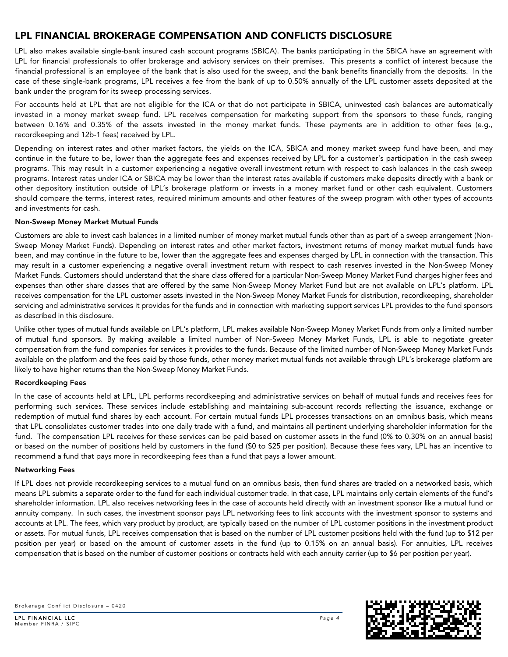LPL also makes available single-bank insured cash account programs (SBICA). The banks participating in the SBICA have an agreement with LPL for financial professionals to offer brokerage and advisory services on their premises. This presents a conflict of interest because the financial professional is an employee of the bank that is also used for the sweep, and the bank benefits financially from the deposits. In the case of these single-bank programs, LPL receives a fee from the bank of up to 0.50% annually of the LPL customer assets deposited at the bank under the program for its sweep processing services.

For accounts held at LPL that are not eligible for the ICA or that do not participate in SBICA, uninvested cash balances are automatically invested in a money market sweep fund. LPL receives compensation for marketing support from the sponsors to these funds, ranging between 0.16% and 0.35% of the assets invested in the money market funds. These payments are in addition to other fees (e.g., recordkeeping and 12b-1 fees) received by LPL.

Depending on interest rates and other market factors, the yields on the ICA, SBICA and money market sweep fund have been, and may continue in the future to be, lower than the aggregate fees and expenses received by LPL for a customer's participation in the cash sweep programs. This may result in a customer experiencing a negative overall investment return with respect to cash balances in the cash sweep programs. Interest rates under ICA or SBICA may be lower than the interest rates available if customers make deposits directly with a bank or other depository institution outside of LPL's brokerage platform or invests in a money market fund or other cash equivalent. Customers should compare the terms, interest rates, required minimum amounts and other features of the sweep program with other types of accounts and investments for cash.

# Non-Sweep Money Market Mutual Funds

Customers are able to invest cash balances in a limited number of money market mutual funds other than as part of a sweep arrangement (Non-Sweep Money Market Funds). Depending on interest rates and other market factors, investment returns of money market mutual funds have been, and may continue in the future to be, lower than the aggregate fees and expenses charged by LPL in connection with the transaction. This may result in a customer experiencing a negative overall investment return with respect to cash reserves invested in the Non-Sweep Money Market Funds. Customers should understand that the share class offered for a particular Non-Sweep Money Market Fund charges higher fees and expenses than other share classes that are offered by the same Non-Sweep Money Market Fund but are not available on LPL's platform. LPL receives compensation for the LPL customer assets invested in the Non-Sweep Money Market Funds for distribution, recordkeeping, shareholder servicing and administrative services it provides for the funds and in connection with marketing support services LPL provides to the fund sponsors as described in this disclosure.

Unlike other types of mutual funds available on LPL's platform, LPL makes available Non-Sweep Money Market Funds from only a limited number of mutual fund sponsors. By making available a limited number of Non-Sweep Money Market Funds, LPL is able to negotiate greater compensation from the fund companies for services it provides to the funds. Because of the limited number of Non-Sweep Money Market Funds available on the platform and the fees paid by those funds, other money market mutual funds not available through LPL's brokerage platform are likely to have higher returns than the Non-Sweep Money Market Funds.

# Recordkeeping Fees

In the case of accounts held at LPL, LPL performs recordkeeping and administrative services on behalf of mutual funds and receives fees for performing such services. These services include establishing and maintaining sub-account records reflecting the issuance, exchange or redemption of mutual fund shares by each account. For certain mutual funds LPL processes transactions on an omnibus basis, which means that LPL consolidates customer trades into one daily trade with a fund, and maintains all pertinent underlying shareholder information for the fund. The compensation LPL receives for these services can be paid based on customer assets in the fund (0% to 0.30% on an annual basis) or based on the number of positions held by customers in the fund (\$0 to \$25 per position). Because these fees vary, LPL has an incentive to recommend a fund that pays more in recordkeeping fees than a fund that pays a lower amount.

# Networking Fees

If LPL does not provide recordkeeping services to a mutual fund on an omnibus basis, then fund shares are traded on a networked basis, which means LPL submits a separate order to the fund for each individual customer trade. In that case, LPL maintains only certain elements of the fund's shareholder information. LPL also receives networking fees in the case of accounts held directly with an investment sponsor like a mutual fund or annuity company. In such cases, the investment sponsor pays LPL networking fees to link accounts with the investment sponsor to systems and accounts at LPL. The fees, which vary product by product, are typically based on the number of LPL customer positions in the investment product or assets. For mutual funds, LPL receives compensation that is based on the number of LPL customer positions held with the fund (up to \$12 per position per year) or based on the amount of customer assets in the fund (up to 0.15% on an annual basis). For annuities, LPL receives compensation that is based on the number of customer positions or contracts held with each annuity carrier (up to \$6 per position per year).

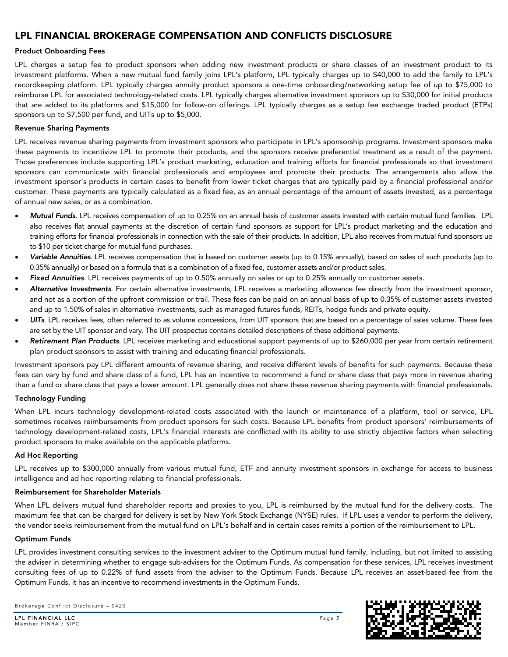# Product Onboarding Fees

LPL charges a setup fee to product sponsors when adding new investment products or share classes of an investment product to its investment platforms. When a new mutual fund family joins LPL's platform, LPL typically charges up to \$40,000 to add the family to LPL's recordkeeping platform. LPL typically charges annuity product sponsors a one-time onboarding/networking setup fee of up to \$75,000 to reimburse LPL for associated technology-related costs. LPL typically charges alternative investment sponsors up to \$30,000 for initial products that are added to its platforms and \$15,000 for follow-on offerings. LPL typically charges as a setup fee exchange traded product (ETPs) sponsors up to \$7,500 per fund, and UITs up to \$5,000.

# Revenue Sharing Payments

LPL receives revenue sharing payments from investment sponsors who participate in LPL's sponsorship programs. Investment sponsors make these payments to incentivize LPL to promote their products, and the sponsors receive preferential treatment as a result of the payment. Those preferences include supporting LPL's product marketing, education and training efforts for financial professionals so that investment sponsors can communicate with financial professionals and employees and promote their products. The arrangements also allow the investment sponsor's products in certain cases to benefit from lower ticket charges that are typically paid by a financial professional and/or customer. These payments are typically calculated as a fixed fee, as an annual percentage of the amount of assets invested, as a percentage of annual new sales, or as a combination.

- *Mutual Funds.* LPL receives compensation of up to 0.25% on an annual basis of customer assets invested with certain mutual fund families. LPL also receives flat annual payments at the discretion of certain fund sponsors as support for LPL's product marketing and the education and training efforts for financial professionals in connection with the sale of their products. In addition, LPL also receives from mutual fund sponsors up to \$10 per ticket charge for mutual fund purchases.
- *Variable Annuities*. LPL receives compensation that is based on customer assets (up to 0.15% annually), based on sales of such products (up to 0.35% annually) or based on a formula that is a combination of a fixed fee, customer assets and/or product sales.
- *Fixed Annuities*. LPL receives payments of up to 0.50% annually on sales or up to 0.25% annually on customer assets.
- *Alternative Investments*. For certain alternative investments, LPL receives a marketing allowance fee directly from the investment sponsor, and not as a portion of the upfront commission or trail. These fees can be paid on an annual basis of up to 0.35% of customer assets invested and up to 1.50% of sales in alternative investments, such as managed futures funds, REITs, hedge funds and private equity.
- *UITs*. LPL receives fees, often referred to as volume concessions, from UIT sponsors that are based on a percentage of sales volume. These fees are set by the UIT sponsor and vary. The UIT prospectus contains detailed descriptions of these additional payments.
- *Retirement Plan Products*. LPL receives marketing and educational support payments of up to \$260,000 per year from certain retirement plan product sponsors to assist with training and educating financial professionals.

Investment sponsors pay LPL different amounts of revenue sharing, and receive different levels of benefits for such payments. Because these fees can vary by fund and share class of a fund, LPL has an incentive to recommend a fund or share class that pays more in revenue sharing than a fund or share class that pays a lower amount. LPL generally does not share these revenue sharing payments with financial professionals.

# Technology Funding

When LPL incurs technology development-related costs associated with the launch or maintenance of a platform, tool or service, LPL sometimes receives reimbursements from product sponsors for such costs. Because LPL benefits from product sponsors' reimbursements of technology development-related costs, LPL's financial interests are conflicted with its ability to use strictly objective factors when selecting product sponsors to make available on the applicable platforms.

# Ad Hoc Reporting

LPL receives up to \$300,000 annually from various mutual fund, ETF and annuity investment sponsors in exchange for access to business intelligence and ad hoc reporting relating to financial professionals.

# Reimbursement for Shareholder Materials

When LPL delivers mutual fund shareholder reports and proxies to you, LPL is reimbursed by the mutual fund for the delivery costs. The maximum fee that can be charged for delivery is set by New York Stock Exchange (NYSE) rules. If LPL uses a vendor to perform the delivery, the vendor seeks reimbursement from the mutual fund on LPL's behalf and in certain cases remits a portion of the reimbursement to LPL.

# Optimum Funds

LPL provides investment consulting services to the investment adviser to the Optimum mutual fund family, including, but not limited to assisting the adviser in determining whether to engage sub-advisers for the Optimum Funds. As compensation for these services, LPL receives investment consulting fees of up to 0.22% of fund assets from the adviser to the Optimum Funds. Because LPL receives an asset-based fee from the Optimum Funds, it has an incentive to recommend investments in the Optimum Funds.

Brokerage Conflict Disclosure – 0420

LPL FINANCIAL LLC *Page 5* Member FINRA / SIPC

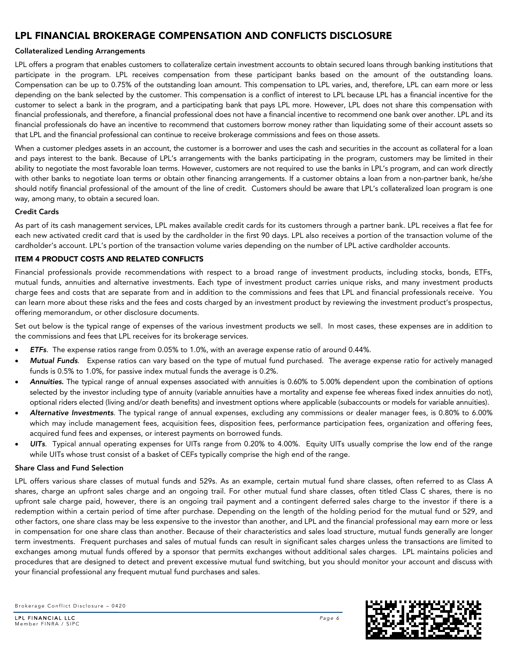# Collateralized Lending Arrangements

LPL offers a program that enables customers to collateralize certain investment accounts to obtain secured loans through banking institutions that participate in the program. LPL receives compensation from these participant banks based on the amount of the outstanding loans. Compensation can be up to 0.75% of the outstanding loan amount. This compensation to LPL varies, and, therefore, LPL can earn more or less depending on the bank selected by the customer. This compensation is a conflict of interest to LPL because LPL has a financial incentive for the customer to select a bank in the program, and a participating bank that pays LPL more. However, LPL does not share this compensation with financial professionals, and therefore, a financial professional does not have a financial incentive to recommend one bank over another. LPL and its financial professionals do have an incentive to recommend that customers borrow money rather than liquidating some of their account assets so that LPL and the financial professional can continue to receive brokerage commissions and fees on those assets.

When a customer pledges assets in an account, the customer is a borrower and uses the cash and securities in the account as collateral for a loan and pays interest to the bank. Because of LPL's arrangements with the banks participating in the program, customers may be limited in their ability to negotiate the most favorable loan terms. However, customers are not required to use the banks in LPL's program, and can work directly with other banks to negotiate loan terms or obtain other financing arrangements. If a customer obtains a loan from a non-partner bank, he/she should notify financial professional of the amount of the line of credit. Customers should be aware that LPL's collateralized loan program is one way, among many, to obtain a secured loan.

# Credit Cards

As part of its cash management services, LPL makes available credit cards for its customers through a partner bank. LPL receives a flat fee for each new activated credit card that is used by the cardholder in the first 90 days. LPL also receives a portion of the transaction volume of the cardholder's account. LPL's portion of the transaction volume varies depending on the number of LPL active cardholder accounts.

# <span id="page-5-0"></span>ITEM 4 PRODUCT COSTS AND RELATED CONFLICTS

Financial professionals provide recommendations with respect to a broad range of investment products, including stocks, bonds, ETFs, mutual funds, annuities and alternative investments. Each type of investment product carries unique risks, and many investment products charge fees and costs that are separate from and in addition to the commissions and fees that LPL and financial professionals receive. You can learn more about these risks and the fees and costs charged by an investment product by reviewing the investment product's prospectus, offering memorandum, or other disclosure documents.

Set out below is the typical range of expenses of the various investment products we sell. In most cases, these expenses are in addition to the commissions and fees that LPL receives for its brokerage services.

- *ETFs*. The expense ratios range from 0.05% to 1.0%, with an average expense ratio of around 0.44%.
- *Mutual Funds*. Expense ratios can vary based on the type of mutual fund purchased. The average expense ratio for actively managed funds is 0.5% to 1.0%, for passive index mutual funds the average is 0.2%.
- *Annuities.* The typical range of annual expenses associated with annuities is 0.60% to 5.00% dependent upon the combination of options selected by the investor including type of annuity (variable annuities have a mortality and expense fee whereas fixed index annuities do not), optional riders elected (living and/or death benefits) and investment options where applicable (subaccounts or models for variable annuities).
- *Alternative Investments*. The typical range of annual expenses, excluding any commissions or dealer manager fees, is 0.80% to 6.00% which may include management fees, acquisition fees, disposition fees, performance participation fees, organization and offering fees, acquired fund fees and expenses, or interest payments on borrowed funds.
- *UITs*. Typical annual operating expenses for UITs range from 0.20% to 4.00%. Equity UITs usually comprise the low end of the range while UITs whose trust consist of a basket of CEFs typically comprise the high end of the range.

# Share Class and Fund Selection

LPL offers various share classes of mutual funds and 529s. As an example, certain mutual fund share classes, often referred to as Class A shares, charge an upfront sales charge and an ongoing trail. For other mutual fund share classes, often titled Class C shares, there is no upfront sale charge paid, however, there is an ongoing trail payment and a contingent deferred sales charge to the investor if there is a redemption within a certain period of time after purchase. Depending on the length of the holding period for the mutual fund or 529, and other factors, one share class may be less expensive to the investor than another, and LPL and the financial professional may earn more or less in compensation for one share class than another. Because of their characteristics and sales load structure, mutual funds generally are longer term investments. Frequent purchases and sales of mutual funds can result in significant sales charges unless the transactions are limited to exchanges among mutual funds offered by a sponsor that permits exchanges without additional sales charges. LPL maintains policies and procedures that are designed to detect and prevent excessive mutual fund switching, but you should monitor your account and discuss with your financial professional any frequent mutual fund purchases and sales.



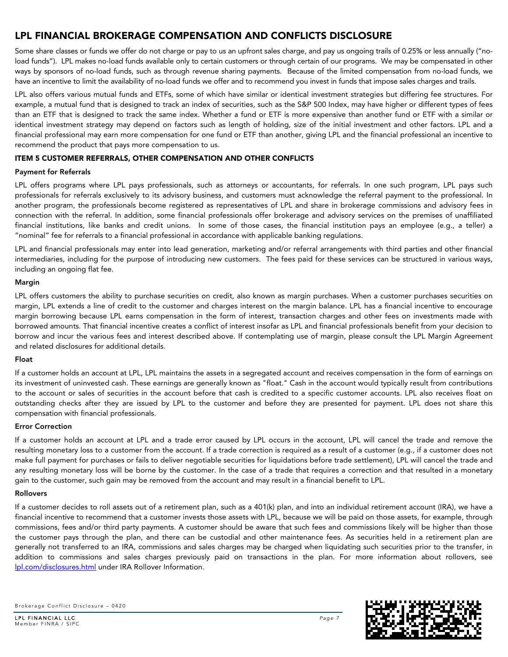Some share classes or funds we offer do not charge or pay to us an upfront sales charge, and pay us ongoing trails of 0.25% or less annually ("noload funds"). LPL makes no-load funds available only to certain customers or through certain of our programs. We may be compensated in other ways by sponsors of no-load funds, such as through revenue sharing payments. Because of the limited compensation from no-load funds, we have an incentive to limit the availability of no-load funds we offer and to recommend you invest in funds that impose sales charges and trails.

LPL also offers various mutual funds and ETFs, some of which have similar or identical investment strategies but differing fee structures. For example, a mutual fund that is designed to track an index of securities, such as the S&P 500 Index, may have higher or different types of fees than an ETF that is designed to track the same index. Whether a fund or ETF is more expensive than another fund or ETF with a similar or identical investment strategy may depend on factors such as length of holding, size of the initial investment and other factors. LPL and a financial professional may earn more compensation for one fund or ETF than another, giving LPL and the financial professional an incentive to recommend the product that pays more compensation to us.

# <span id="page-6-0"></span>ITEM 5 CUSTOMER REFERRALS, OTHER COMPENSATION AND OTHER CONFLICTS

# Payment for Referrals

LPL offers programs where LPL pays professionals, such as attorneys or accountants, for referrals. In one such program, LPL pays such professionals for referrals exclusively to its advisory business, and customers must acknowledge the referral payment to the professional. In another program, the professionals become registered as representatives of LPL and share in brokerage commissions and advisory fees in connection with the referral. In addition, some financial professionals offer brokerage and advisory services on the premises of unaffiliated financial institutions, like banks and credit unions. In some of those cases, the financial institution pays an employee (e.g., a teller) a "nominal" fee for referrals to a financial professional in accordance with applicable banking regulations.

LPL and financial professionals may enter into lead generation, marketing and/or referral arrangements with third parties and other financial intermediaries, including for the purpose of introducing new customers. The fees paid for these services can be structured in various ways, including an ongoing flat fee.

# Margin

LPL offers customers the ability to purchase securities on credit, also known as margin purchases. When a customer purchases securities on margin, LPL extends a line of credit to the customer and charges interest on the margin balance. LPL has a financial incentive to encourage margin borrowing because LPL earns compensation in the form of interest, transaction charges and other fees on investments made with borrowed amounts. That financial incentive creates a conflict of interest insofar as LPL and financial professionals benefit from your decision to borrow and incur the various fees and interest described above. If contemplating use of margin, please consult the LPL Margin Agreement and related disclosures for additional details.

# Float

If a customer holds an account at LPL, LPL maintains the assets in a segregated account and receives compensation in the form of earnings on its investment of uninvested cash. These earnings are generally known as "float." Cash in the account would typically result from contributions to the account or sales of securities in the account before that cash is credited to a specific customer accounts. LPL also receives float on outstanding checks after they are issued by LPL to the customer and before they are presented for payment. LPL does not share this compensation with financial professionals.

# Error Correction

If a customer holds an account at LPL and a trade error caused by LPL occurs in the account, LPL will cancel the trade and remove the resulting monetary loss to a customer from the account. If a trade correction is required as a result of a customer (e.g., if a customer does not make full payment for purchases or fails to deliver negotiable securities for liquidations before trade settlement), LPL will cancel the trade and any resulting monetary loss will be borne by the customer. In the case of a trade that requires a correction and that resulted in a monetary gain to the customer, such gain may be removed from the account and may result in a financial benefit to LPL.

# Rollovers

If a customer decides to roll assets out of a retirement plan, such as a 401(k) plan, and into an individual retirement account (IRA), we have a financial incentive to recommend that a customer invests those assets with LPL, because we will be paid on those assets, for example, through commissions, fees and/or third party payments. A customer should be aware that such fees and commissions likely will be higher than those the customer pays through the plan, and there can be custodial and other maintenance fees. As securities held in a retirement plan are generally not transferred to an IRA, commissions and sales charges may be charged when liquidating such securities prior to the transfer, in addition to commissions and sales charges previously paid on transactions in the plan. For more information about rollovers, see [lpl.com/disclosures.html](https://www.lpl.com/disclosures.html) under IRA Rollover Information.

Brokerage Conflict Disclosure – 0420

LPL FINANCIAL LLC *Page 7* Member FINRA / SIPC

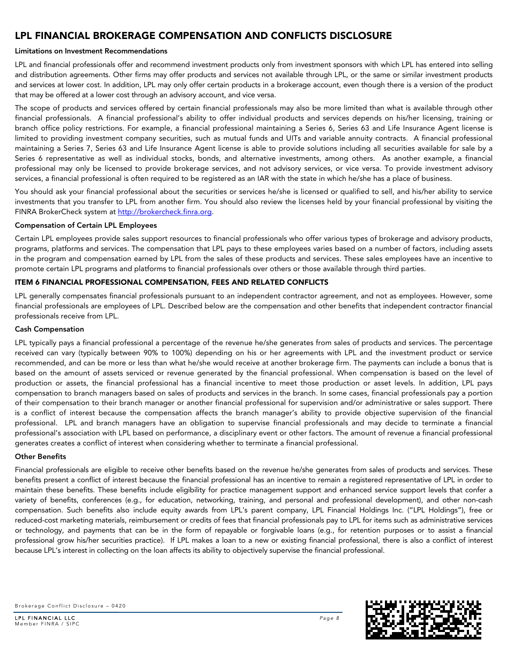# Limitations on Investment Recommendations

LPL and financial professionals offer and recommend investment products only from investment sponsors with which LPL has entered into selling and distribution agreements. Other firms may offer products and services not available through LPL, or the same or similar investment products and services at lower cost. In addition, LPL may only offer certain products in a brokerage account, even though there is a version of the product that may be offered at a lower cost through an advisory account, and vice versa.

The scope of products and services offered by certain financial professionals may also be more limited than what is available through other financial professionals. A financial professional's ability to offer individual products and services depends on his/her licensing, training or branch office policy restrictions. For example, a financial professional maintaining a Series 6, Series 63 and Life Insurance Agent license is limited to providing investment company securities, such as mutual funds and UITs and variable annuity contracts. A financial professional maintaining a Series 7, Series 63 and Life Insurance Agent license is able to provide solutions including all securities available for sale by a Series 6 representative as well as individual stocks, bonds, and alternative investments, among others. As another example, a financial professional may only be licensed to provide brokerage services, and not advisory services, or vice versa. To provide investment advisory services, a financial professional is often required to be registered as an IAR with the state in which he/she has a place of business.

You should ask your financial professional about the securities or services he/she is licensed or qualified to sell, and his/her ability to service investments that you transfer to LPL from another firm. You should also review the licenses held by your financial professional by visiting the FINRA BrokerCheck system at [http://brokercheck.finra.org.](http://brokercheck.finra.org/)

# Compensation of Certain LPL Employees

Certain LPL employees provide sales support resources to financial professionals who offer various types of brokerage and advisory products, programs, platforms and services. The compensation that LPL pays to these employees varies based on a number of factors, including assets in the program and compensation earned by LPL from the sales of these products and services. These sales employees have an incentive to promote certain LPL programs and platforms to financial professionals over others or those available through third parties.

# <span id="page-7-0"></span>ITEM 6 FINANCIAL PROFESSIONAL COMPENSATION, FEES AND RELATED CONFLICTS

LPL generally compensates financial professionals pursuant to an independent contractor agreement, and not as employees. However, some financial professionals are employees of LPL. Described below are the compensation and other benefits that independent contractor financial professionals receive from LPL.

# Cash Compensation

LPL typically pays a financial professional a percentage of the revenue he/she generates from sales of products and services. The percentage received can vary (typically between 90% to 100%) depending on his or her agreements with LPL and the investment product or service recommended, and can be more or less than what he/she would receive at another brokerage firm. The payments can include a bonus that is based on the amount of assets serviced or revenue generated by the financial professional. When compensation is based on the level of production or assets, the financial professional has a financial incentive to meet those production or asset levels. In addition, LPL pays compensation to branch managers based on sales of products and services in the branch. In some cases, financial professionals pay a portion of their compensation to their branch manager or another financial professional for supervision and/or administrative or sales support. There is a conflict of interest because the compensation affects the branch manager's ability to provide objective supervision of the financial professional. LPL and branch managers have an obligation to supervise financial professionals and may decide to terminate a financial professional's association with LPL based on performance, a disciplinary event or other factors. The amount of revenue a financial professional generates creates a conflict of interest when considering whether to terminate a financial professional.

# Other Benefits

Financial professionals are eligible to receive other benefits based on the revenue he/she generates from sales of products and services. These benefits present a conflict of interest because the financial professional has an incentive to remain a registered representative of LPL in order to maintain these benefits. These benefits include eligibility for practice management support and enhanced service support levels that confer a variety of benefits, conferences (e.g., for education, networking, training, and personal and professional development), and other non-cash compensation. Such benefits also include equity awards from LPL's parent company, LPL Financial Holdings Inc. ("LPL Holdings"), free or reduced-cost marketing materials, reimbursement or credits of fees that financial professionals pay to LPL for items such as administrative services or technology, and payments that can be in the form of repayable or forgivable loans (e.g., for retention purposes or to assist a financial professional grow his/her securities practice). If LPL makes a loan to a new or existing financial professional, there is also a conflict of interest because LPL's interest in collecting on the loan affects its ability to objectively supervise the financial professional.

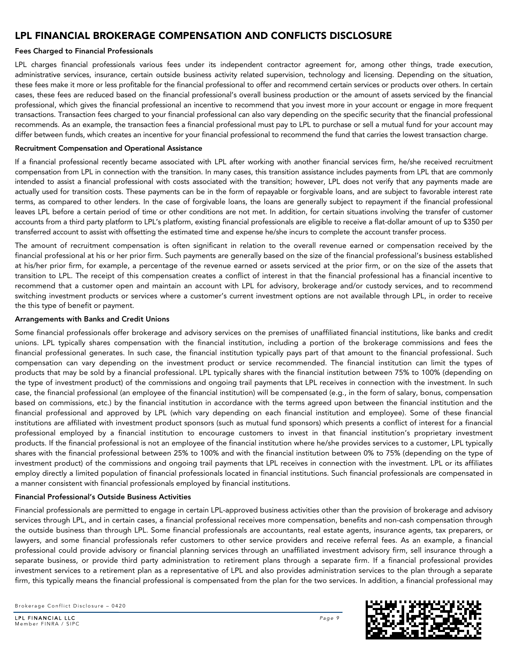# Fees Charged to Financial Professionals

LPL charges financial professionals various fees under its independent contractor agreement for, among other things, trade execution, administrative services, insurance, certain outside business activity related supervision, technology and licensing. Depending on the situation, these fees make it more or less profitable for the financial professional to offer and recommend certain services or products over others. In certain cases, these fees are reduced based on the financial professional's overall business production or the amount of assets serviced by the financial professional, which gives the financial professional an incentive to recommend that you invest more in your account or engage in more frequent transactions. Transaction fees charged to your financial professional can also vary depending on the specific security that the financial professional recommends. As an example, the transaction fees a financial professional must pay to LPL to purchase or sell a mutual fund for your account may differ between funds, which creates an incentive for your financial professional to recommend the fund that carries the lowest transaction charge.

#### Recruitment Compensation and Operational Assistance

If a financial professional recently became associated with LPL after working with another financial services firm, he/she received recruitment compensation from LPL in connection with the transition. In many cases, this transition assistance includes payments from LPL that are commonly intended to assist a financial professional with costs associated with the transition; however, LPL does not verify that any payments made are actually used for transition costs. These payments can be in the form of repayable or forgivable loans, and are subject to favorable interest rate terms, as compared to other lenders. In the case of forgivable loans, the loans are generally subject to repayment if the financial professional leaves LPL before a certain period of time or other conditions are not met. In addition, for certain situations involving the transfer of customer accounts from a third party platform to LPL's platform, existing financial professionals are eligible to receive a flat-dollar amount of up to \$350 per transferred account to assist with offsetting the estimated time and expense he/she incurs to complete the account transfer process.

The amount of recruitment compensation is often significant in relation to the overall revenue earned or compensation received by the financial professional at his or her prior firm. Such payments are generally based on the size of the financial professional's business established at his/her prior firm, for example, a percentage of the revenue earned or assets serviced at the prior firm, or on the size of the assets that transition to LPL. The receipt of this compensation creates a conflict of interest in that the financial professional has a financial incentive to recommend that a customer open and maintain an account with LPL for advisory, brokerage and/or custody services, and to recommend switching investment products or services where a customer's current investment options are not available through LPL, in order to receive the this type of benefit or payment.

#### Arrangements with Banks and Credit Unions

Some financial professionals offer brokerage and advisory services on the premises of unaffiliated financial institutions, like banks and credit unions. LPL typically shares compensation with the financial institution, including a portion of the brokerage commissions and fees the financial professional generates. In such case, the financial institution typically pays part of that amount to the financial professional. Such compensation can vary depending on the investment product or service recommended. The financial institution can limit the types of products that may be sold by a financial professional. LPL typically shares with the financial institution between 75% to 100% (depending on the type of investment product) of the commissions and ongoing trail payments that LPL receives in connection with the investment. In such case, the financial professional (an employee of the financial institution) will be compensated (e.g., in the form of salary, bonus, compensation based on commissions, etc.) by the financial institution in accordance with the terms agreed upon between the financial institution and the financial professional and approved by LPL (which vary depending on each financial institution and employee). Some of these financial institutions are affiliated with investment product sponsors (such as mutual fund sponsors) which presents a conflict of interest for a financial professional employed by a financial institution to encourage customers to invest in that financial institution's proprietary investment products. If the financial professional is not an employee of the financial institution where he/she provides services to a customer, LPL typically shares with the financial professional between 25% to 100% and with the financial institution between 0% to 75% (depending on the type of investment product) of the commissions and ongoing trail payments that LPL receives in connection with the investment. LPL or its affiliates employ directly a limited population of financial professionals located in financial institutions. Such financial professionals are compensated in a manner consistent with financial professionals employed by financial institutions.

#### Financial Professional's Outside Business Activities

Financial professionals are permitted to engage in certain LPL-approved business activities other than the provision of brokerage and advisory services through LPL, and in certain cases, a financial professional receives more compensation, benefits and non-cash compensation through the outside business than through LPL. Some financial professionals are accountants, real estate agents, insurance agents, tax preparers, or lawyers, and some financial professionals refer customers to other service providers and receive referral fees. As an example, a financial professional could provide advisory or financial planning services through an unaffiliated investment advisory firm, sell insurance through a separate business, or provide third party administration to retirement plans through a separate firm. If a financial professional provides investment services to a retirement plan as a representative of LPL and also provides administration services to the plan through a separate firm, this typically means the financial professional is compensated from the plan for the two services. In addition, a financial professional may

Brokerage Conflict Disclosure – 0420

LPL FINANCIAL LLC *Page 9* Member FINRA / SIPC